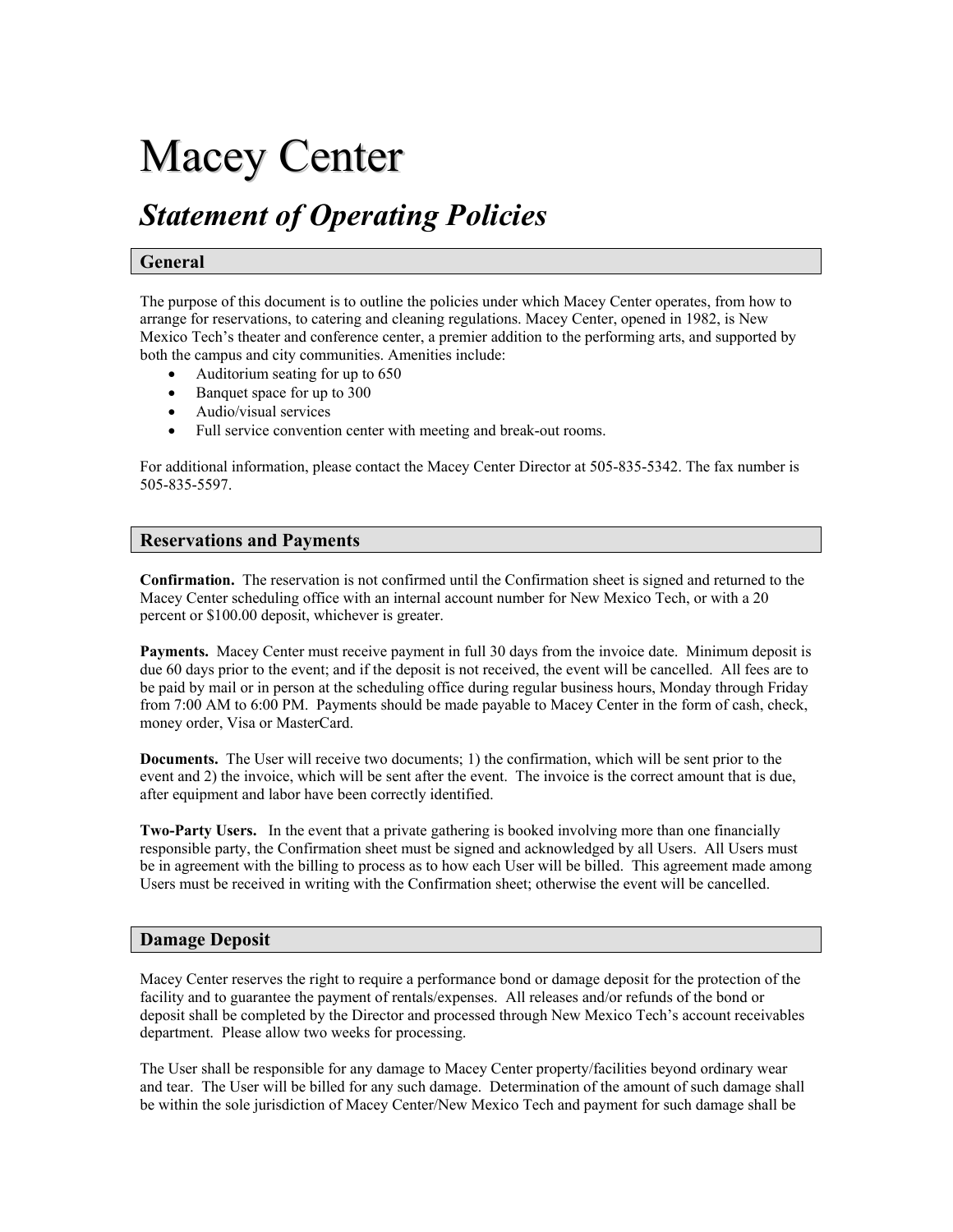# Macey Center

## *Statement of Operating Policies*

### **General**

The purpose of this document is to outline the policies under which Macey Center operates, from how to arrange for reservations, to catering and cleaning regulations. Macey Center, opened in 1982, is New Mexico Tech's theater and conference center, a premier addition to the performing arts, and supported by both the campus and city communities. Amenities include:

- Auditorium seating for up to 650
- Banquet space for up to 300
- Audio/visual services
- Full service convention center with meeting and break-out rooms.

For additional information, please contact the Macey Center Director at 505-835-5342. The fax number is 505-835-5597.

#### **Reservations and Payments**

**Confirmation.** The reservation is not confirmed until the Confirmation sheet is signed and returned to the Macey Center scheduling office with an internal account number for New Mexico Tech, or with a 20 percent or \$100.00 deposit, whichever is greater.

**Payments.** Macey Center must receive payment in full 30 days from the invoice date. Minimum deposit is due 60 days prior to the event; and if the deposit is not received, the event will be cancelled. All fees are to be paid by mail or in person at the scheduling office during regular business hours, Monday through Friday from 7:00 AM to 6:00 PM. Payments should be made payable to Macey Center in the form of cash, check, money order, Visa or MasterCard.

**Documents.** The User will receive two documents; 1) the confirmation, which will be sent prior to the event and 2) the invoice, which will be sent after the event. The invoice is the correct amount that is due, after equipment and labor have been correctly identified.

**Two-Party Users.** In the event that a private gathering is booked involving more than one financially responsible party, the Confirmation sheet must be signed and acknowledged by all Users. All Users must be in agreement with the billing to process as to how each User will be billed. This agreement made among Users must be received in writing with the Confirmation sheet; otherwise the event will be cancelled.

#### **Damage Deposit**

Macey Center reserves the right to require a performance bond or damage deposit for the protection of the facility and to guarantee the payment of rentals/expenses. All releases and/or refunds of the bond or deposit shall be completed by the Director and processed through New Mexico Tech's account receivables department. Please allow two weeks for processing.

The User shall be responsible for any damage to Macey Center property/facilities beyond ordinary wear and tear. The User will be billed for any such damage. Determination of the amount of such damage shall be within the sole jurisdiction of Macey Center/New Mexico Tech and payment for such damage shall be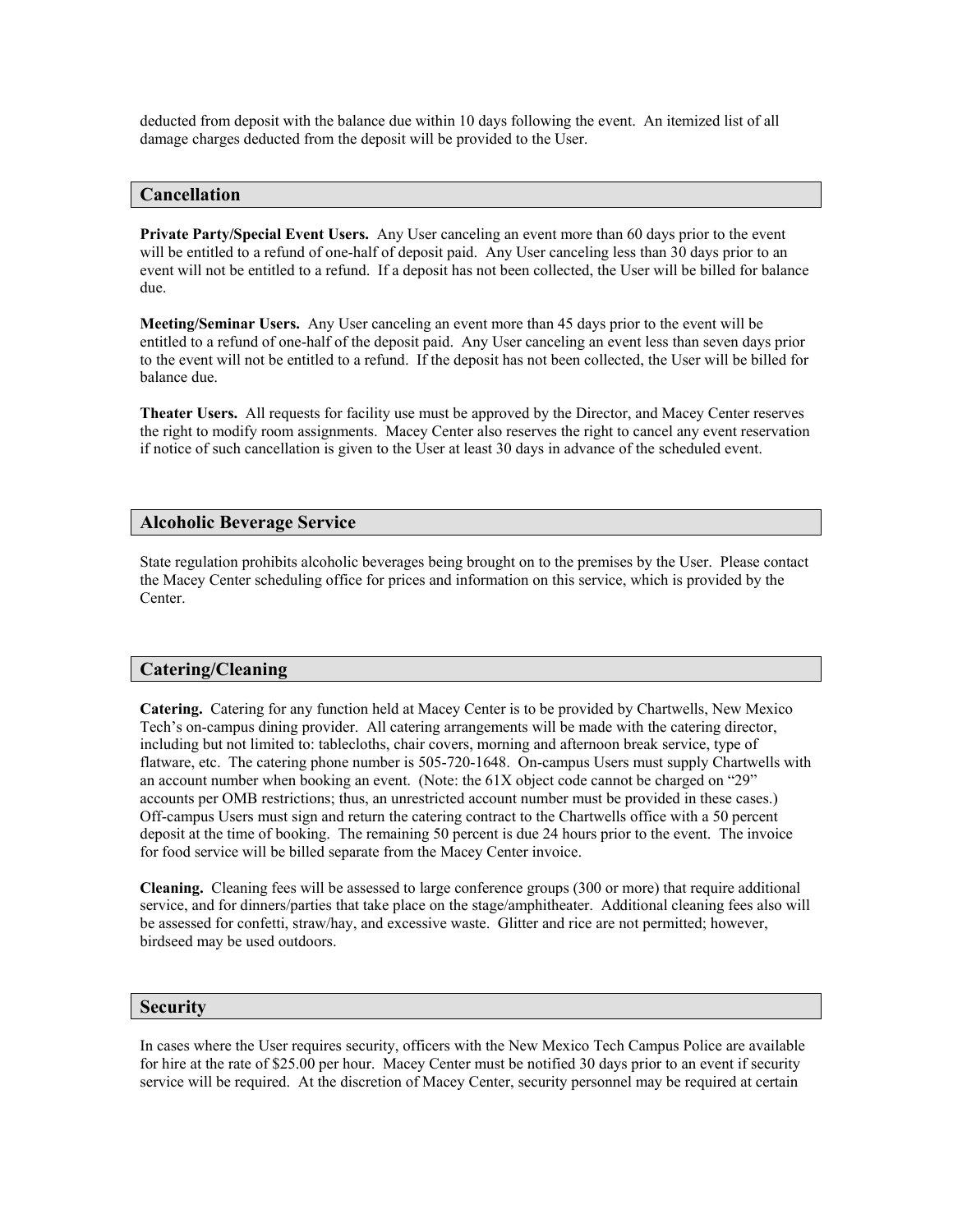deducted from deposit with the balance due within 10 days following the event. An itemized list of all damage charges deducted from the deposit will be provided to the User.

#### **Cancellation**

**Private Party/Special Event Users.** Any User canceling an event more than 60 days prior to the event will be entitled to a refund of one-half of deposit paid. Any User canceling less than 30 days prior to an event will not be entitled to a refund. If a deposit has not been collected, the User will be billed for balance due.

**Meeting/Seminar Users.** Any User canceling an event more than 45 days prior to the event will be entitled to a refund of one-half of the deposit paid. Any User canceling an event less than seven days prior to the event will not be entitled to a refund. If the deposit has not been collected, the User will be billed for balance due.

**Theater Users.** All requests for facility use must be approved by the Director, and Macey Center reserves the right to modify room assignments. Macey Center also reserves the right to cancel any event reservation if notice of such cancellation is given to the User at least 30 days in advance of the scheduled event.

#### **Alcoholic Beverage Service**

State regulation prohibits alcoholic beverages being brought on to the premises by the User. Please contact the Macey Center scheduling office for prices and information on this service, which is provided by the Center.

#### **Catering/Cleaning**

**Catering.** Catering for any function held at Macey Center is to be provided by Chartwells, New Mexico Tech's on-campus dining provider. All catering arrangements will be made with the catering director, including but not limited to: tablecloths, chair covers, morning and afternoon break service, type of flatware, etc. The catering phone number is 505-720-1648. On-campus Users must supply Chartwells with an account number when booking an event. (Note: the 61X object code cannot be charged on "29" accounts per OMB restrictions; thus, an unrestricted account number must be provided in these cases.) Off-campus Users must sign and return the catering contract to the Chartwells office with a 50 percent deposit at the time of booking. The remaining 50 percent is due 24 hours prior to the event. The invoice for food service will be billed separate from the Macey Center invoice.

**Cleaning.** Cleaning fees will be assessed to large conference groups (300 or more) that require additional service, and for dinners/parties that take place on the stage/amphitheater. Additional cleaning fees also will be assessed for confetti, straw/hay, and excessive waste. Glitter and rice are not permitted; however, birdseed may be used outdoors.

#### **Security**

In cases where the User requires security, officers with the New Mexico Tech Campus Police are available for hire at the rate of \$25.00 per hour. Macey Center must be notified 30 days prior to an event if security service will be required. At the discretion of Macey Center, security personnel may be required at certain